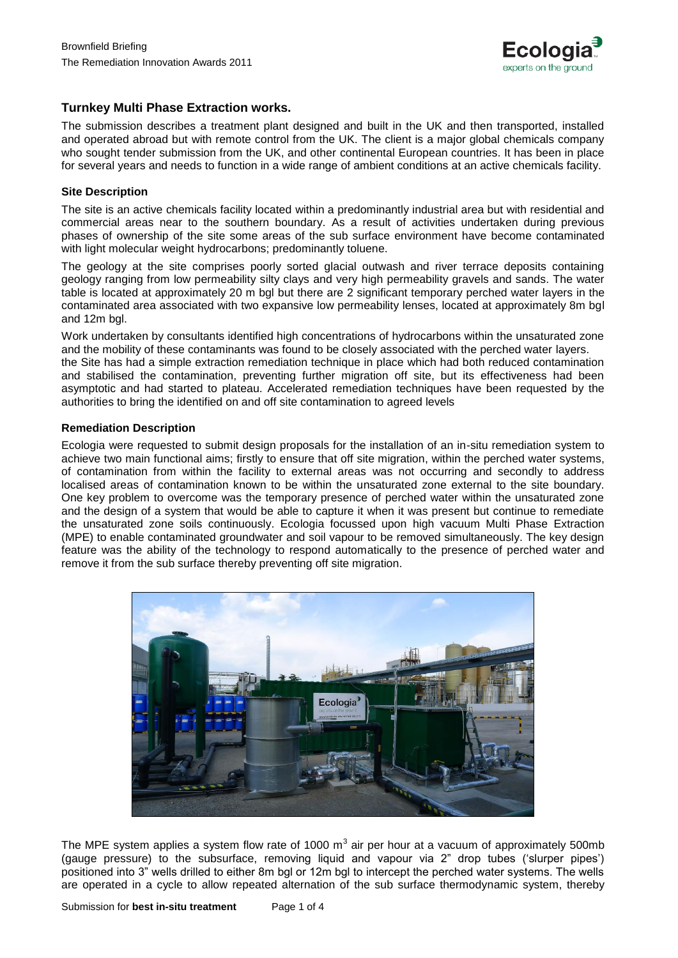

## **Turnkey Multi Phase Extraction works.**

The submission describes a treatment plant designed and built in the UK and then transported, installed and operated abroad but with remote control from the UK. The client is a major global chemicals company who sought tender submission from the UK, and other continental European countries. It has been in place for several years and needs to function in a wide range of ambient conditions at an active chemicals facility.

### **Site Description**

The site is an active chemicals facility located within a predominantly industrial area but with residential and commercial areas near to the southern boundary. As a result of activities undertaken during previous phases of ownership of the site some areas of the sub surface environment have become contaminated with light molecular weight hydrocarbons; predominantly toluene.

The geology at the site comprises poorly sorted glacial outwash and river terrace deposits containing geology ranging from low permeability silty clays and very high permeability gravels and sands. The water table is located at approximately 20 m bgl but there are 2 significant temporary perched water layers in the contaminated area associated with two expansive low permeability lenses, located at approximately 8m bgl and 12m bgl.

Work undertaken by consultants identified high concentrations of hydrocarbons within the unsaturated zone and the mobility of these contaminants was found to be closely associated with the perched water layers.

the Site has had a simple extraction remediation technique in place which had both reduced contamination and stabilised the contamination, preventing further migration off site, but its effectiveness had been asymptotic and had started to plateau. Accelerated remediation techniques have been requested by the authorities to bring the identified on and off site contamination to agreed levels

### **Remediation Description**

Ecologia were requested to submit design proposals for the installation of an in-situ remediation system to achieve two main functional aims; firstly to ensure that off site migration, within the perched water systems, of contamination from within the facility to external areas was not occurring and secondly to address localised areas of contamination known to be within the unsaturated zone external to the site boundary. One key problem to overcome was the temporary presence of perched water within the unsaturated zone and the design of a system that would be able to capture it when it was present but continue to remediate the unsaturated zone soils continuously. Ecologia focussed upon high vacuum Multi Phase Extraction (MPE) to enable contaminated groundwater and soil vapour to be removed simultaneously. The key design feature was the ability of the technology to respond automatically to the presence of perched water and remove it from the sub surface thereby preventing off site migration.



The MPE system applies a system flow rate of 1000  $m^3$  air per hour at a vacuum of approximately 500mb (gauge pressure) to the subsurface, removing liquid and vapour via 2" drop tubes ('slurper pipes') positioned into 3" wells drilled to either 8m bgl or 12m bgl to intercept the perched water systems. The wells are operated in a cycle to allow repeated alternation of the sub surface thermodynamic system, thereby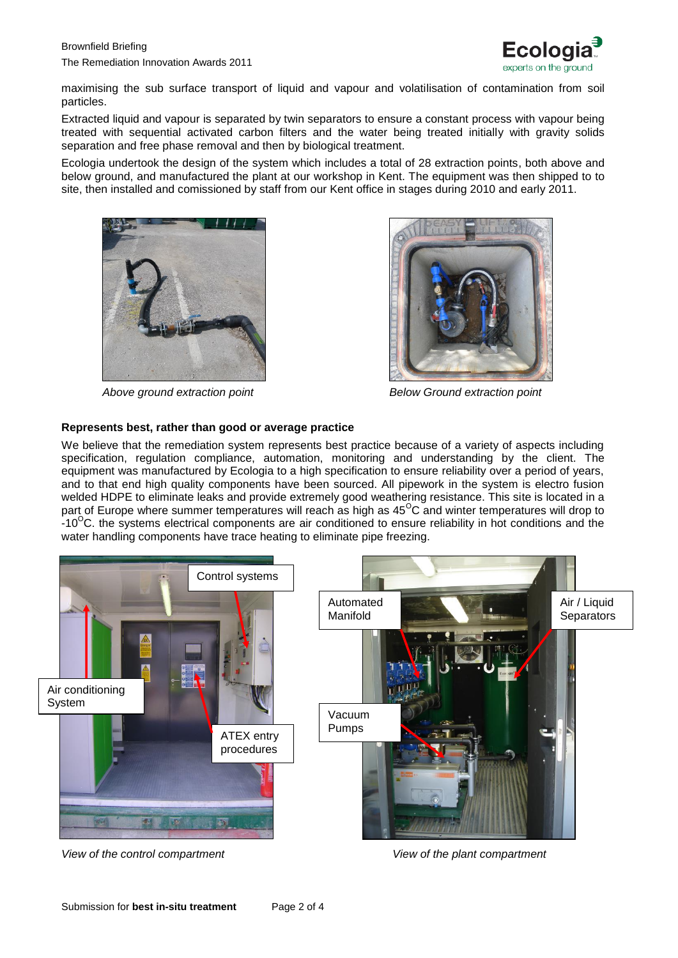

maximising the sub surface transport of liquid and vapour and volatilisation of contamination from soil particles.

Extracted liquid and vapour is separated by twin separators to ensure a constant process with vapour being treated with sequential activated carbon filters and the water being treated initially with gravity solids separation and free phase removal and then by biological treatment.

Ecologia undertook the design of the system which includes a total of 28 extraction points, both above and below ground, and manufactured the plant at our workshop in Kent. The equipment was then shipped to to site, then installed and comissioned by staff from our Kent office in stages during 2010 and early 2011.





*Above ground extraction point Below Ground extraction point*

# **Represents best, rather than good or average practice**

We believe that the remediation system represents best practice because of a variety of aspects including specification, regulation compliance, automation, monitoring and understanding by the client. The equipment was manufactured by Ecologia to a high specification to ensure reliability over a period of years, and to that end high quality components have been sourced. All pipework in the system is electro fusion welded HDPE to eliminate leaks and provide extremely good weathering resistance. This site is located in a part of Europe where summer temperatures will reach as high as 45<sup>o</sup>C and winter temperatures will drop to  $-10^{\circ}$ C. the systems electrical components are air conditioned to ensure reliability in hot conditions and the water handling components have trace heating to eliminate pipe freezing.



*View of the control compartment View of the plant compartment*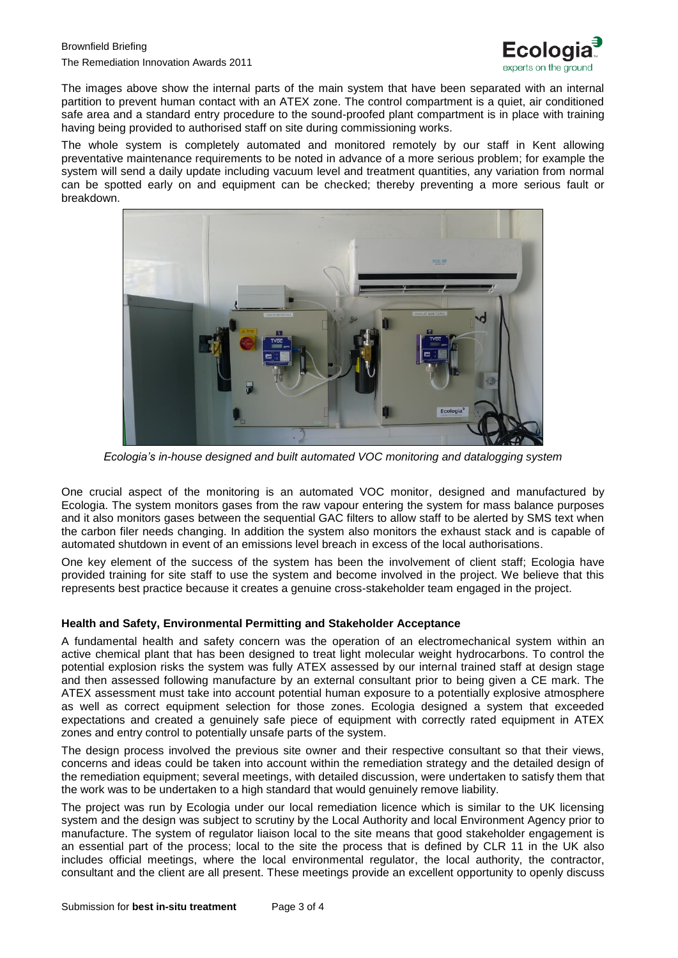

The images above show the internal parts of the main system that have been separated with an internal partition to prevent human contact with an ATEX zone. The control compartment is a quiet, air conditioned safe area and a standard entry procedure to the sound-proofed plant compartment is in place with training having being provided to authorised staff on site during commissioning works.

The whole system is completely automated and monitored remotely by our staff in Kent allowing preventative maintenance requirements to be noted in advance of a more serious problem; for example the system will send a daily update including vacuum level and treatment quantities, any variation from normal can be spotted early on and equipment can be checked; thereby preventing a more serious fault or breakdown.



*Ecologia's in-house designed and built automated VOC monitoring and datalogging system*

One crucial aspect of the monitoring is an automated VOC monitor, designed and manufactured by Ecologia. The system monitors gases from the raw vapour entering the system for mass balance purposes and it also monitors gases between the sequential GAC filters to allow staff to be alerted by SMS text when the carbon filer needs changing. In addition the system also monitors the exhaust stack and is capable of automated shutdown in event of an emissions level breach in excess of the local authorisations.

One key element of the success of the system has been the involvement of client staff; Ecologia have provided training for site staff to use the system and become involved in the project. We believe that this represents best practice because it creates a genuine cross-stakeholder team engaged in the project.

## **Health and Safety, Environmental Permitting and Stakeholder Acceptance**

A fundamental health and safety concern was the operation of an electromechanical system within an active chemical plant that has been designed to treat light molecular weight hydrocarbons. To control the potential explosion risks the system was fully ATEX assessed by our internal trained staff at design stage and then assessed following manufacture by an external consultant prior to being given a CE mark. The ATEX assessment must take into account potential human exposure to a potentially explosive atmosphere as well as correct equipment selection for those zones. Ecologia designed a system that exceeded expectations and created a genuinely safe piece of equipment with correctly rated equipment in ATEX zones and entry control to potentially unsafe parts of the system.

The design process involved the previous site owner and their respective consultant so that their views, concerns and ideas could be taken into account within the remediation strategy and the detailed design of the remediation equipment; several meetings, with detailed discussion, were undertaken to satisfy them that the work was to be undertaken to a high standard that would genuinely remove liability.

The project was run by Ecologia under our local remediation licence which is similar to the UK licensing system and the design was subject to scrutiny by the Local Authority and local Environment Agency prior to manufacture. The system of regulator liaison local to the site means that good stakeholder engagement is an essential part of the process; local to the site the process that is defined by CLR 11 in the UK also includes official meetings, where the local environmental regulator, the local authority, the contractor, consultant and the client are all present. These meetings provide an excellent opportunity to openly discuss